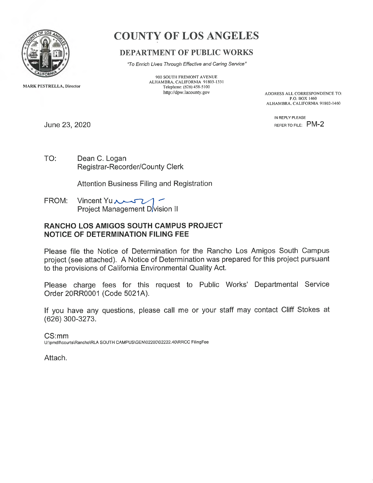

MARK PESTRELLA, Director

# COUNTY OF LOS ANGELES

# DEPARTMENT OF PUBLIC WORKS

"To Enrich Lives Through Effective and Caring Service"

900 SOUTH FREMONT AVENUE ALHAMBRA, CALIFORNIA 91803-1331 Telephone: (626) 458-5100<br>http://dpw.lacounty.gov

ADDRESS ALL CORRESPONDENCE TO: P.O. BOX 1460 ALHAMBRA, CALIFORNIA 91802-1460

> IN REPLY PLEASE REFER TO FILE: PM-2

June 23, 2020

TO: Dean C. Logan <sup>R</sup>egistrar-Recorder/County Clerk

<sup>A</sup>ttention Business Filing and Registration

**FROM:** Vincent Yu Project Management D/vision II

### RANCHO LOS AMIGOS SOUTH CAMPUS PROJECT NOTICE OF DETERMINATION FILING FEE

<sup>P</sup>lease file the Notice of Determination for the Rancho Los Amigos South Campus <sup>p</sup>roject (see attached). A Notice of Determination was prepared for this project pursuant <sup>t</sup>o the provisions of California Environmental Quality Act.

<sup>P</sup>lease charge fees for this request to Public Works' Departmental Service Order 20RR0001 (Code 5021A).

<sup>I</sup>f you have any questions, please call me or your staff may contact Cliff Stokes at (626) 300-3273.

CS:mm U:\pmdll\courts\Rancho\RLA SOUTH CAMPUS\GEN\02200\02222.40\RRCC FilingFee

Attach.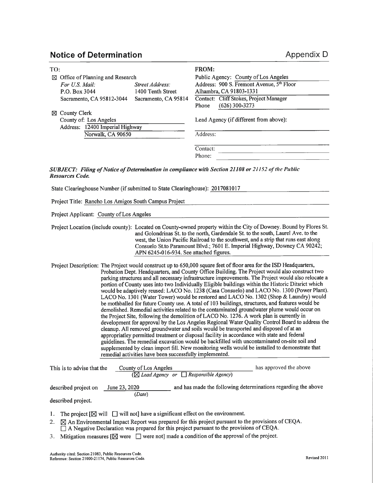# Notice of Determination and a set of the Appendix D

| TO:                                         |                      | <b>FROM:</b>                              |  |
|---------------------------------------------|----------------------|-------------------------------------------|--|
| $\boxtimes$ Office of Planning and Research |                      | Public Agency: County of Los Angeles      |  |
| For U.S. Mail:                              | Street Address:      | Address: 900 S. Fremont Avenue, 5th Floor |  |
| P.O. Box 3044                               | 1400 Tenth Street    | Alhambra, CA 91803-1331                   |  |
| Sacramento, CA 95812-3044                   | Sacramento, CA 95814 | Contact: Cliff Stokes, Project Manager    |  |
|                                             |                      | $(626)$ 300-3273<br>Phone                 |  |
| ⊠ County Clerk                              |                      |                                           |  |
| County of: Los Angeles                      |                      | Lead Agency (if different from above):    |  |
| Address: 12400 Imperial Highway             |                      |                                           |  |
| Norwalk, CA 90650                           |                      | Address:                                  |  |
|                                             |                      |                                           |  |
|                                             |                      | Contact:                                  |  |
|                                             |                      | Phone:                                    |  |

#### SUBJECT: Filing of Notice of Determination in compliance with Section 21108 or 21152 of the Public Resources Code.

State Clearinghouse Number (if submitted to State Clearinghouse): 2017081017

Project Title: Rancho Los Amigos South Campus Project

Project Applicant: County of Los Angeles

Project Location (include county): Located on County-owned property within the City of Downey. Bound by Flores St. and Golondrinas St. to the north, Gardendale St. to the south, Laurel Ave. to the west, the Union Pacific Railroad to the southwest, and a strip that runs east along Consuelo St.to Paramount Blvd.; 7601 E. Imperial Highway, Downey CA 90242; APN 6245-016-934. See attached figures.

Project Description: The Project would construct up to 650,000 square feet of floor area for the ISD Headquarters, Probation Dept. Headquarters, and County Office Building. The Project would also construct two parking structures and all necessary infrastructure improvements. The Project would also relocate a portion of County uses into two Individually Eligible buildings within the Historic Ditsrict which would be adaptively reused: LACO No. 1238 (Casa Consuelo) and LACO No. 1300 (Power Plant). LACO No. 1301 (Water Tower) would be restored and LACO No. 1302 (Shop & Laundry) would be mothballed for future County use. A total of 103 buildings, structures, and features would be demolished. Remedial activities related to the contaminated groundwater plume would occur on the Project Site, following the demolition of LACO No. 1276. A work plan is currently in development for approval by the Los Angeles Regional Water Quality Control Board to address the cleanup. All removed groundwater and soils would be transported and disposed of at an appropriatley permitted treatment or disposal facility in accordance with state and federal guidelines. The remedial excavation would be backfilled with uncontaminated on-site soil and supplemented by clean import fill. New monitoring wells would be installed to demonstrate that remedial activities have been successfully implemented.

| This is to advise that the                 | County of Los Angeles   | $(\boxtimes$ Lead Agency or $\Box$ Responsible Agency)        | has approved the above |
|--------------------------------------------|-------------------------|---------------------------------------------------------------|------------------------|
| described project on<br>described project. | June 23, 2020<br>(Date) | and has made the following determinations regarding the above |                        |

- 1. The project  $[\boxtimes]$  will  $\Box$  will not] have a significant effect on the environment.
- 2.  $\boxtimes$  An Environmental Impact Report was prepared for this project pursuant to the provisions of CEQA.  $\Box$  A Negative Declaration was prepared for this project pursuant to the provisions of CEQA.
- 3. Mitigation measures  $[\boxtimes]$  were  $[\Box]$  were not] made a condition of the approval of the project.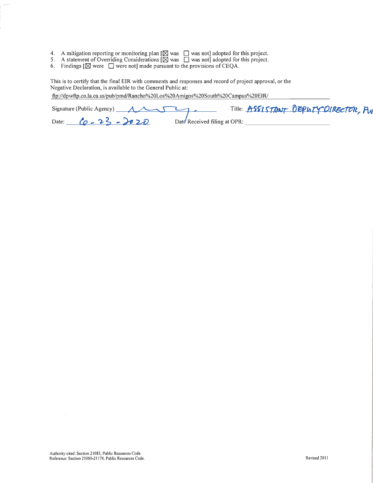- 4. A mitigation reporting or monitoring plan  $[\boxtimes]$  was  $\Box$  was not] adopted for this project.
- 5. A statement of Overriding Considerations  $[\boxtimes]$  was  $\Box$  was not] adopted for this project.
- 6. Findings  $[\boxtimes]$  were  $\Box$  were not] made pursuant to the provisions of CEQA.

This is to certify that the final EIR with comments and responses and record of project approval, or the Negative Declaration, is available to the General Public at:

ftp://dpwftp.co.la.ca. us/pub/pmd/Rancho%20Los%20Amigos%20South%20Campus%20EIR/

| Signature (Public Agency) $\overline{A}$ | Title: ASSISTANT DEPUTY DIRECTOR, PU |
|------------------------------------------|--------------------------------------|
| Date: $6 - 23 - 2020$                    | Date Received filing at OPR:         |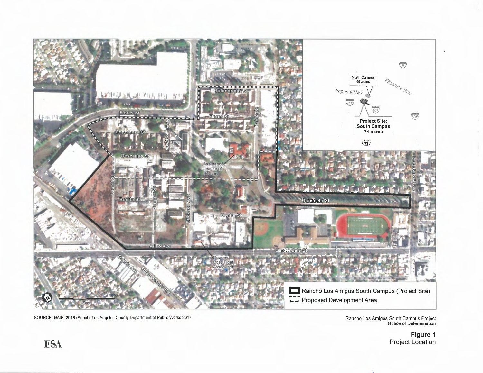

SOURCE: NAIP, 2016 (Aerial); Los Angeles County Department of Public Works 2017<br>Notice of Determination<br>Notice of Determination

Figure 1 **ESA** Project Location